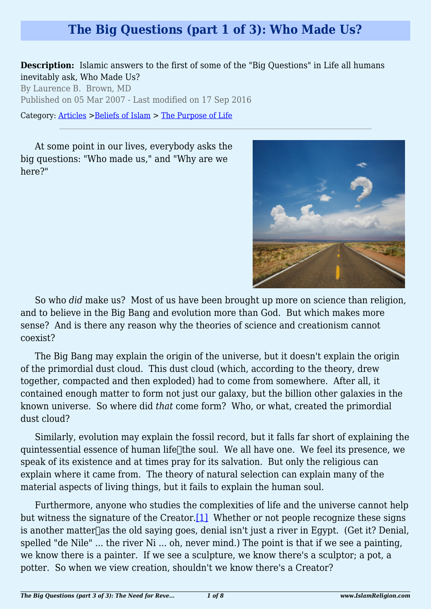## **The Big Questions (part 1 of 3): Who Made Us?**

**Description:** Islamic answers to the first of some of the "Big Questions" in Life all humans inevitably ask, Who Made Us?

By Laurence B. Brown, MD Published on 05 Mar 2007 - Last modified on 17 Sep 2016

Category: [Articles](http://www.islamreligion.com/articles/) >[Beliefs of Islam](http://www.islamreligion.com/category/48/) > [The Purpose of Life](http://www.islamreligion.com/category/52/)

At some point in our lives, everybody asks the big questions: "Who made us," and "Why are we here?"



So who *did* make us? Most of us have been brought up more on science than religion, and to believe in the Big Bang and evolution more than God. But which makes more sense? And is there any reason why the theories of science and creationism cannot coexist?

The Big Bang may explain the origin of the universe, but it doesn't explain the origin of the primordial dust cloud. This dust cloud (which, according to the theory, drew together, compacted and then exploded) had to come from somewhere. After all, it contained enough matter to form not just our galaxy, but the billion other galaxies in the known universe. So where did *that* come form? Who, or what, created the primordial dust cloud?

Similarly, evolution may explain the fossil record, but it falls far short of explaining the quintessential essence of human lifethe soul. We all have one. We feel its presence, we speak of its existence and at times pray for its salvation. But only the religious can explain where it came from. The theory of natural selection can explain many of the material aspects of living things, but it fails to explain the human soul.

<span id="page-0-0"></span>Furthermore, anyone who studies the complexities of life and the universe cannot help but witness the signature of the Creator.<sup>[\[1\]](#page-2-0)</sup> Whether or not people recognize these signs is another matter  $\alpha$  as the old saying goes, denial isn't just a river in Egypt. (Get it? Denial, spelled "de Nile" ... the river Ni ... oh, never mind.) The point is that if we see a painting, we know there is a painter. If we see a sculpture, we know there's a sculptor; a pot, a potter. So when we view creation, shouldn't we know there's a Creator?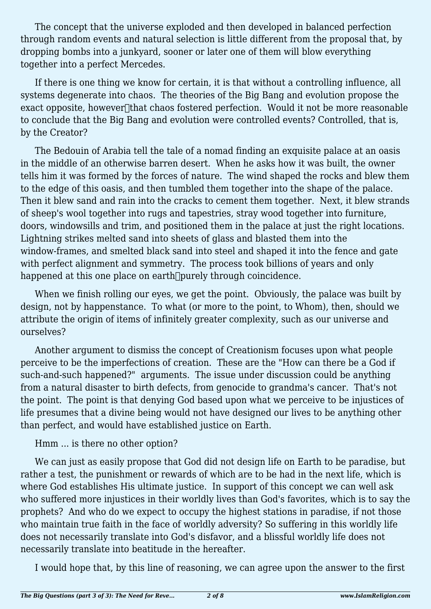The concept that the universe exploded and then developed in balanced perfection through random events and natural selection is little different from the proposal that, by dropping bombs into a junkyard, sooner or later one of them will blow everything together into a perfect Mercedes.

If there is one thing we know for certain, it is that without a controlling influence, all systems degenerate into chaos. The theories of the Big Bang and evolution propose the exact opposite, however hat chaos fostered perfection. Would it not be more reasonable to conclude that the Big Bang and evolution were controlled events? Controlled, that is, by the Creator?

The Bedouin of Arabia tell the tale of a nomad finding an exquisite palace at an oasis in the middle of an otherwise barren desert. When he asks how it was built, the owner tells him it was formed by the forces of nature. The wind shaped the rocks and blew them to the edge of this oasis, and then tumbled them together into the shape of the palace. Then it blew sand and rain into the cracks to cement them together. Next, it blew strands of sheep's wool together into rugs and tapestries, stray wood together into furniture, doors, windowsills and trim, and positioned them in the palace at just the right locations. Lightning strikes melted sand into sheets of glass and blasted them into the window-frames, and smelted black sand into steel and shaped it into the fence and gate with perfect alignment and symmetry. The process took billions of years and only happened at this one place on earth<sup>[]</sup>purely through coincidence.

When we finish rolling our eyes, we get the point. Obviously, the palace was built by design, not by happenstance. To what (or more to the point, to Whom), then, should we attribute the origin of items of infinitely greater complexity, such as our universe and ourselves?

Another argument to dismiss the concept of Creationism focuses upon what people perceive to be the imperfections of creation. These are the "How can there be a God if such-and-such happened?" arguments. The issue under discussion could be anything from a natural disaster to birth defects, from genocide to grandma's cancer. That's not the point. The point is that denying God based upon what we perceive to be injustices of life presumes that a divine being would not have designed our lives to be anything other than perfect, and would have established justice on Earth.

## Hmm ... is there no other option?

We can just as easily propose that God did not design life on Earth to be paradise, but rather a test, the punishment or rewards of which are to be had in the next life, which is where God establishes His ultimate justice. In support of this concept we can well ask who suffered more injustices in their worldly lives than God's favorites, which is to say the prophets? And who do we expect to occupy the highest stations in paradise, if not those who maintain true faith in the face of worldly adversity? So suffering in this worldly life does not necessarily translate into God's disfavor, and a blissful worldly life does not necessarily translate into beatitude in the hereafter.

I would hope that, by this line of reasoning, we can agree upon the answer to the first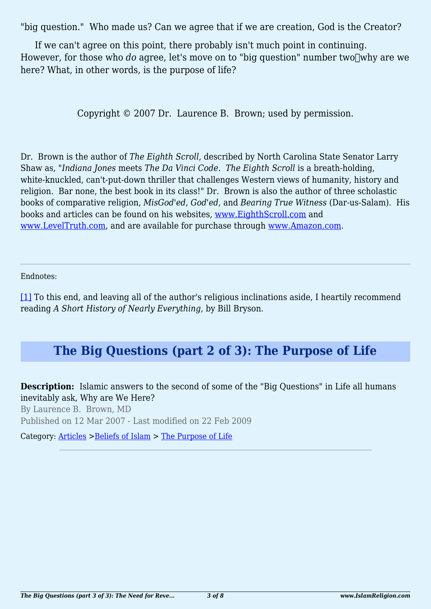"big question." Who made us? Can we agree that if we are creation, God is the Creator?

If we can't agree on this point, there probably isn't much point in continuing. However, for those who *do* agree, let's move on to "big question" number two why are we here? What, in other words, is the purpose of life?

Copyright © 2007 Dr. Laurence B. Brown; used by permission.

Dr. Brown is the author of *The Eighth Scroll*, described by North Carolina State Senator Larry Shaw as, "*Indiana Jones* meets *The Da Vinci Code*. *The Eighth Scroll* is a breath-holding, white-knuckled, can't-put-down thriller that challenges Western views of humanity, history and religion. Bar none, the best book in its class!" Dr. Brown is also the author of three scholastic books of comparative religion, *MisGod'ed*, *God'ed*, and *Bearing True Witness* (Dar-us-Salam). His books and articles can be found on his websites, [www.EighthScroll.com](http://www.eighthscroll.com/) and [www.LevelTruth.com,](http://www.leveltruth.com/) and are available for purchase through [www.Amazon.com](http://www.amazon.com/).

<span id="page-2-0"></span>Endnotes:

[\[1\]](#page-0-0) To this end, and leaving all of the author's religious inclinations aside, I heartily recommend reading *A Short History of Nearly Everything*, by Bill Bryson.

## **The Big Questions (part 2 of 3): The Purpose of Life**

**Description:** Islamic answers to the second of some of the "Big Questions" in Life all humans inevitably ask, Why are We Here?

By Laurence B. Brown, MD Published on 12 Mar 2007 - Last modified on 22 Feb 2009

Category: [Articles](http://www.islamreligion.com/articles/) >[Beliefs of Islam](http://www.islamreligion.com/category/48/) > [The Purpose of Life](http://www.islamreligion.com/category/52/)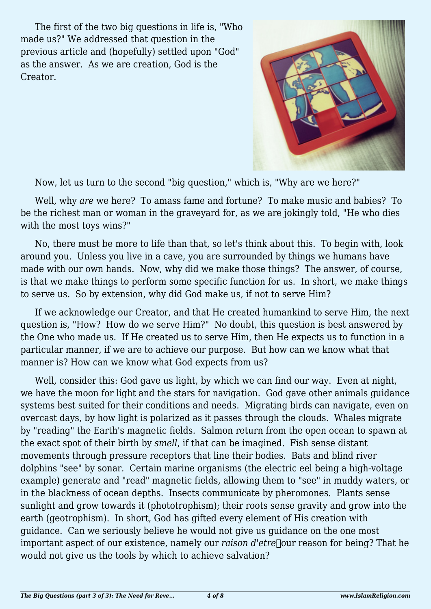The first of the two big questions in life is, "Who made us?" We addressed that question in the previous article and (hopefully) settled upon "God" as the answer. As we are creation, God is the Creator.



Now, let us turn to the second "big question," which is, "Why are we here?"

Well, why *are* we here? To amass fame and fortune? To make music and babies? To be the richest man or woman in the graveyard for, as we are jokingly told, "He who dies with the most toys wins?"

No, there must be more to life than that, so let's think about this. To begin with, look around you. Unless you live in a cave, you are surrounded by things we humans have made with our own hands. Now, why did we make those things? The answer, of course, is that we make things to perform some specific function for us. In short, we make things to serve us. So by extension, why did God make us, if not to serve Him?

If we acknowledge our Creator, and that He created humankind to serve Him, the next question is, "How? How do we serve Him?" No doubt, this question is best answered by the One who made us. If He created us to serve Him, then He expects us to function in a particular manner, if we are to achieve our purpose. But how can we know what that manner is? How can we know what God expects from us?

Well, consider this: God gave us light, by which we can find our way. Even at night, we have the moon for light and the stars for navigation. God gave other animals guidance systems best suited for their conditions and needs. Migrating birds can navigate, even on overcast days, by how light is polarized as it passes through the clouds. Whales migrate by "reading" the Earth's magnetic fields. Salmon return from the open ocean to spawn at the exact spot of their birth by *smell*, if that can be imagined. Fish sense distant movements through pressure receptors that line their bodies. Bats and blind river dolphins "see" by sonar. Certain marine organisms (the electric eel being a high-voltage example) generate and "read" magnetic fields, allowing them to "see" in muddy waters, or in the blackness of ocean depths. Insects communicate by pheromones. Plants sense sunlight and grow towards it (phototrophism); their roots sense gravity and grow into the earth (geotrophism). In short, God has gifted every element of His creation with guidance. Can we seriously believe he would not give us guidance on the one most important aspect of our existence, namely our *raison d'etre* our reason for being? That he would not give us the tools by which to achieve salvation?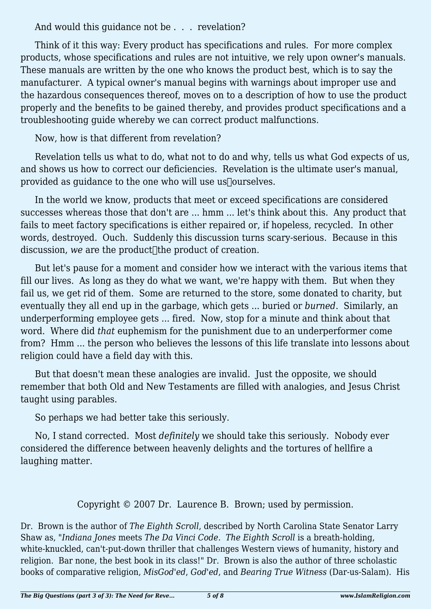And would this quidance not be . . . revelation?

Think of it this way: Every product has specifications and rules. For more complex products, whose specifications and rules are not intuitive, we rely upon owner's manuals. These manuals are written by the one who knows the product best, which is to say the manufacturer. A typical owner's manual begins with warnings about improper use and the hazardous consequences thereof, moves on to a description of how to use the product properly and the benefits to be gained thereby, and provides product specifications and a troubleshooting guide whereby we can correct product malfunctions.

Now, how is that different from revelation?

Revelation tells us what to do, what not to do and why, tells us what God expects of us, and shows us how to correct our deficiencies. Revelation is the ultimate user's manual, provided as guidance to the one who will use us $\sqrt{2}$  ourselves.

In the world we know, products that meet or exceed specifications are considered successes whereas those that don't are ... hmm ... let's think about this. Any product that fails to meet factory specifications is either repaired or, if hopeless, recycled. In other words, destroyed. Ouch. Suddenly this discussion turns scary-serious. Because in this discussion, we are the product<sup>-</sup> the product of creation.

But let's pause for a moment and consider how we interact with the various items that fill our lives. As long as they do what we want, we're happy with them. But when they fail us, we get rid of them. Some are returned to the store, some donated to charity, but eventually they all end up in the garbage, which gets ... buried or *burned*. Similarly, an underperforming employee gets ... fired. Now, stop for a minute and think about that word. Where did *that* euphemism for the punishment due to an underperformer come from? Hmm ... the person who believes the lessons of this life translate into lessons about religion could have a field day with this.

But that doesn't mean these analogies are invalid. Just the opposite, we should remember that both Old and New Testaments are filled with analogies, and Jesus Christ taught using parables.

So perhaps we had better take this seriously.

No, I stand corrected. Most *definitely* we should take this seriously. Nobody ever considered the difference between heavenly delights and the tortures of hellfire a laughing matter.

Copyright © 2007 Dr. Laurence B. Brown; used by permission.

Dr. Brown is the author of *The Eighth Scroll*, described by North Carolina State Senator Larry Shaw as, "*Indiana Jones* meets *The Da Vinci Code*. *The Eighth Scroll* is a breath-holding, white-knuckled, can't-put-down thriller that challenges Western views of humanity, history and religion. Bar none, the best book in its class!" Dr. Brown is also the author of three scholastic books of comparative religion, *MisGod'ed*, *God'ed*, and *Bearing True Witness* (Dar-us-Salam). His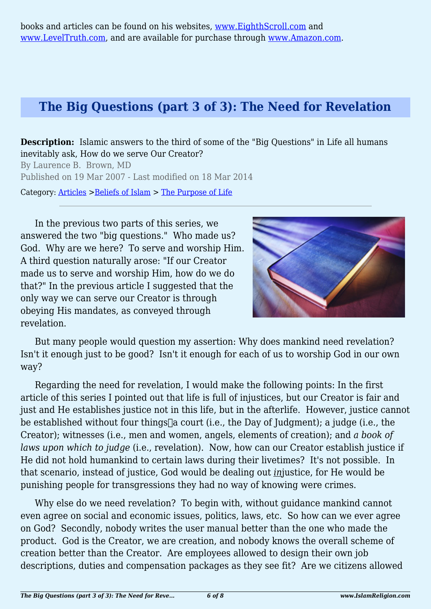## **The Big Questions (part 3 of 3): The Need for Revelation**

**Description:** Islamic answers to the third of some of the "Big Questions" in Life all humans inevitably ask, How do we serve Our Creator?

By Laurence B. Brown, MD Published on 19 Mar 2007 - Last modified on 18 Mar 2014

Category: [Articles](http://www.islamreligion.com/articles/) >[Beliefs of Islam](http://www.islamreligion.com/category/48/) > [The Purpose of Life](http://www.islamreligion.com/category/52/)

In the previous two parts of this series, we answered the two "big questions." Who made us? God. Why are we here? To serve and worship Him. A third question naturally arose: "If our Creator made us to serve and worship Him, how do we do that?" In the previous article I suggested that the only way we can serve our Creator is through obeying His mandates, as conveyed through revelation.



But many people would question my assertion: Why does mankind need revelation? Isn't it enough just to be good? Isn't it enough for each of us to worship God in our own way?

Regarding the need for revelation, I would make the following points: In the first article of this series I pointed out that life is full of injustices, but our Creator is fair and just and He establishes justice not in this life, but in the afterlife. However, justice cannot be established without four things  $\alpha$  court (i.e., the Day of Judgment); a judge (i.e., the Creator); witnesses (i.e., men and women, angels, elements of creation); and *a book of laws upon which to judge* (i.e., revelation). Now, how can our Creator establish justice if He did not hold humankind to certain laws during their livetimes? It's not possible. In that scenario, instead of justice, God would be dealing out *in*justice, for He would be punishing people for transgressions they had no way of knowing were crimes.

Why else do we need revelation? To begin with, without guidance mankind cannot even agree on social and economic issues, politics, laws, etc. So how can we ever agree on God? Secondly, nobody writes the user manual better than the one who made the product. God is the Creator, we are creation, and nobody knows the overall scheme of creation better than the Creator. Are employees allowed to design their own job descriptions, duties and compensation packages as they see fit? Are we citizens allowed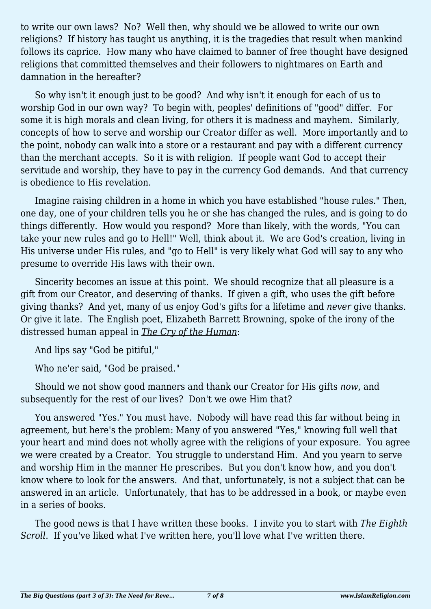to write our own laws? No? Well then, why should we be allowed to write our own religions? If history has taught us anything, it is the tragedies that result when mankind follows its caprice. How many who have claimed to banner of free thought have designed religions that committed themselves and their followers to nightmares on Earth and damnation in the hereafter?

So why isn't it enough just to be good? And why isn't it enough for each of us to worship God in our own way? To begin with, peoples' definitions of "good" differ. For some it is high morals and clean living, for others it is madness and mayhem. Similarly, concepts of how to serve and worship our Creator differ as well. More importantly and to the point, nobody can walk into a store or a restaurant and pay with a different currency than the merchant accepts. So it is with religion. If people want God to accept their servitude and worship, they have to pay in the currency God demands. And that currency is obedience to His revelation.

Imagine raising children in a home in which you have established "house rules." Then, one day, one of your children tells you he or she has changed the rules, and is going to do things differently. How would you respond? More than likely, with the words, "You can take your new rules and go to Hell!" Well, think about it. We are God's creation, living in His universe under His rules, and "go to Hell" is very likely what God will say to any who presume to override His laws with their own.

Sincerity becomes an issue at this point. We should recognize that all pleasure is a gift from our Creator, and deserving of thanks. If given a gift, who uses the gift before giving thanks? And yet, many of us enjoy God's gifts for a lifetime and *never* give thanks. Or give it late. The English poet, Elizabeth Barrett Browning, spoke of the irony of the distressed human appeal in *The Cry of the Human*:

And lips say "God be pitiful,"

Who ne'er said, "God be praised."

Should we not show good manners and thank our Creator for His gifts *now*, and subsequently for the rest of our lives? Don't we owe Him that?

You answered "Yes." You must have. Nobody will have read this far without being in agreement, but here's the problem: Many of you answered "Yes," knowing full well that your heart and mind does not wholly agree with the religions of your exposure. You agree we were created by a Creator. You struggle to understand Him. And you yearn to serve and worship Him in the manner He prescribes. But you don't know how, and you don't know where to look for the answers. And that, unfortunately, is not a subject that can be answered in an article. Unfortunately, that has to be addressed in a book, or maybe even in a series of books.

The good news is that I have written these books. I invite you to start with *The Eighth Scroll*. If you've liked what I've written here, you'll love what I've written there.